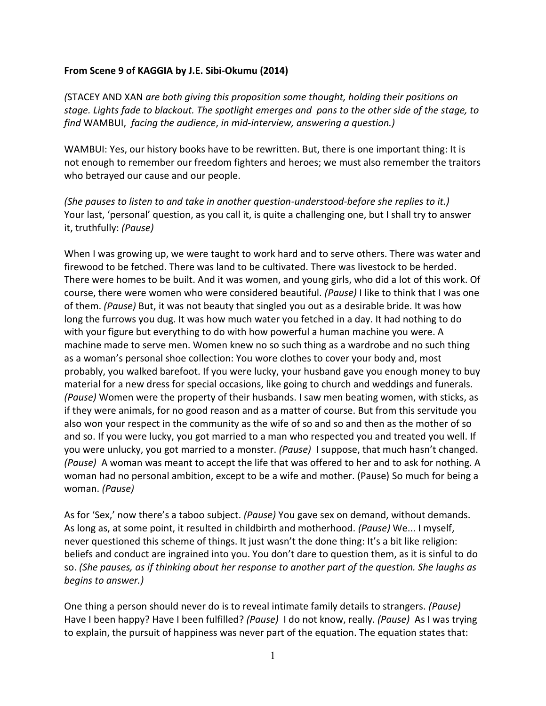## **From Scene 9 of KAGGIA by J.E. Sibi-Okumu (2014)**

*(*STACEY AND XAN *are both giving this proposition some thought, holding their positions on stage. Lights fade to blackout. The spotlight emerges and pans to the other side of the stage, to find* WAMBUI, *facing the audience*, *in mid-interview, answering a question.)* 

WAMBUI: Yes, our history books have to be rewritten. But, there is one important thing: It is not enough to remember our freedom fighters and heroes; we must also remember the traitors who betrayed our cause and our people.

*(She pauses to listen to and take in another question-understood-before she replies to it.)* Your last, 'personal' question, as you call it, is quite a challenging one, but I shall try to answer it, truthfully: *(Pause)*

When I was growing up, we were taught to work hard and to serve others. There was water and firewood to be fetched. There was land to be cultivated. There was livestock to be herded. There were homes to be built. And it was women, and young girls, who did a lot of this work. Of course, there were women who were considered beautiful. *(Pause)* I like to think that I was one of them. *(Pause)* But, it was not beauty that singled you out as a desirable bride. It was how long the furrows you dug. It was how much water you fetched in a day. It had nothing to do with your figure but everything to do with how powerful a human machine you were. A machine made to serve men. Women knew no so such thing as a wardrobe and no such thing as a woman's personal shoe collection: You wore clothes to cover your body and, most probably, you walked barefoot. If you were lucky, your husband gave you enough money to buy material for a new dress for special occasions, like going to church and weddings and funerals. *(Pause)* Women were the property of their husbands. I saw men beating women, with sticks, as if they were animals, for no good reason and as a matter of course. But from this servitude you also won your respect in the community as the wife of so and so and then as the mother of so and so. If you were lucky, you got married to a man who respected you and treated you well. If you were unlucky, you got married to a monster. *(Pause)* I suppose, that much hasn't changed. *(Pause)* A woman was meant to accept the life that was offered to her and to ask for nothing. A woman had no personal ambition, except to be a wife and mother. (Pause) So much for being a woman. *(Pause)*

As for 'Sex,' now there's a taboo subject. *(Pause)* You gave sex on demand, without demands. As long as, at some point, it resulted in childbirth and motherhood. *(Pause)* We... I myself, never questioned this scheme of things. It just wasn't the done thing: It's a bit like religion: beliefs and conduct are ingrained into you. You don't dare to question them, as it is sinful to do so. *(She pauses, as if thinking about her response to another part of the question. She laughs as begins to answer.)* 

One thing a person should never do is to reveal intimate family details to strangers. *(Pause)* Have I been happy? Have I been fulfilled? *(Pause)* I do not know, really. *(Pause)* As I was trying to explain, the pursuit of happiness was never part of the equation. The equation states that: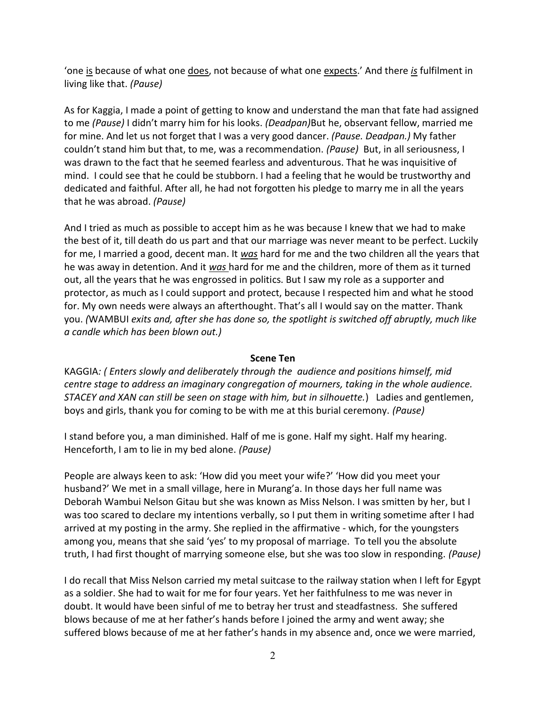'one is because of what one does, not because of what one expects.' And there *is* fulfilment in living like that. *(Pause)*

As for Kaggia, I made a point of getting to know and understand the man that fate had assigned to me *(Pause)* I didn't marry him for his looks. *(Deadpan)*But he, observant fellow, married me for mine. And let us not forget that I was a very good dancer. *(Pause. Deadpan.)* My father couldn't stand him but that, to me, was a recommendation. *(Pause)* But, in all seriousness, I was drawn to the fact that he seemed fearless and adventurous. That he was inquisitive of mind. I could see that he could be stubborn. I had a feeling that he would be trustworthy and dedicated and faithful. After all, he had not forgotten his pledge to marry me in all the years that he was abroad. *(Pause)*

And I tried as much as possible to accept him as he was because I knew that we had to make the best of it, till death do us part and that our marriage was never meant to be perfect. Luckily for me, I married a good, decent man. It *was* hard for me and the two children all the years that he was away in detention. And it *was* hard for me and the children, more of them as it turned out, all the years that he was engrossed in politics. But I saw my role as a supporter and protector, as much as I could support and protect, because I respected him and what he stood for. My own needs were always an afterthought. That's all I would say on the matter. Thank you. *(*WAMBUI *exits and, after she has done so, the spotlight is switched off abruptly, much like a candle which has been blown out.)*

## **Scene Ten**

KAGGIA*: ( Enters slowly and deliberately through the audience and positions himself, mid centre stage to address an imaginary congregation of mourners, taking in the whole audience. STACEY and XAN can still be seen on stage with him, but in silhouette.*) Ladies and gentlemen, boys and girls, thank you for coming to be with me at this burial ceremony. *(Pause)*

I stand before you, a man diminished. Half of me is gone. Half my sight. Half my hearing. Henceforth, I am to lie in my bed alone. *(Pause)*

People are always keen to ask: 'How did you meet your wife?' 'How did you meet your husband?' We met in a small village, here in Murang'a. In those days her full name was Deborah Wambui Nelson Gitau but she was known as Miss Nelson. I was smitten by her, but I was too scared to declare my intentions verbally, so I put them in writing sometime after I had arrived at my posting in the army. She replied in the affirmative - which, for the youngsters among you, means that she said 'yes' to my proposal of marriage. To tell you the absolute truth, I had first thought of marrying someone else, but she was too slow in responding. *(Pause)*

I do recall that Miss Nelson carried my metal suitcase to the railway station when I left for Egypt as a soldier. She had to wait for me for four years. Yet her faithfulness to me was never in doubt. It would have been sinful of me to betray her trust and steadfastness. She suffered blows because of me at her father's hands before I joined the army and went away; she suffered blows because of me at her father's hands in my absence and, once we were married,